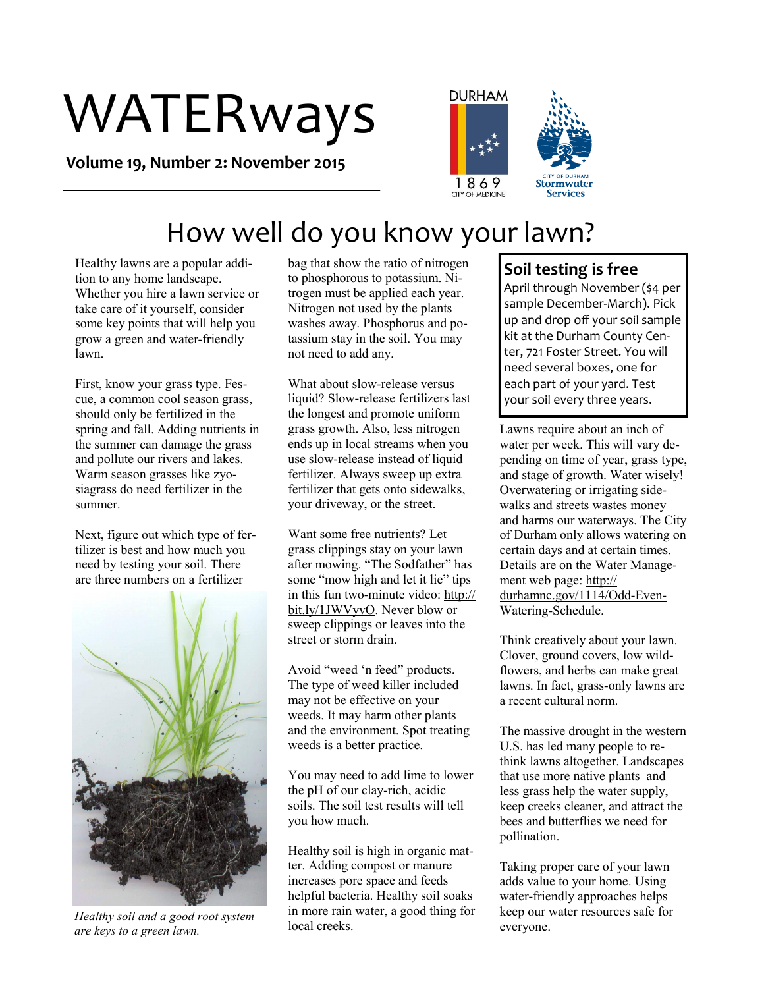# WATERways

**Volume 19, Number 2: November 2015**





## How well do you know your lawn?

Healthy lawns are a popular addition to any home landscape. Whether you hire a lawn service or take care of it yourself, consider some key points that will help you grow a green and water-friendly lawn.

First, know your grass type. Fescue, a common cool season grass, should only be fertilized in the spring and fall. Adding nutrients in the summer can damage the grass and pollute our rivers and lakes. Warm season grasses like zyosiagrass do need fertilizer in the summer.

Next, figure out which type of fertilizer is best and how much you need by testing your soil. There are three numbers on a fertilizer



*Healthy soil and a good root system are keys to a green lawn.* 

bag that show the ratio of nitrogen to phosphorous to potassium. Nitrogen must be applied each year. Nitrogen not used by the plants washes away. Phosphorus and potassium stay in the soil. You may not need to add any.

What about slow-release versus liquid? Slow-release fertilizers last the longest and promote uniform grass growth. Also, less nitrogen ends up in local streams when you use slow-release instead of liquid fertilizer. Always sweep up extra fertilizer that gets onto sidewalks, your driveway, or the street.

Want some free nutrients? Let grass clippings stay on your lawn after mowing. "The Sodfather" has some "mow high and let it lie" tips in this fun two-minute video: [http://](http://bit.ly/1JWVyvO) [bit.ly/1JWVyvO.](http://bit.ly/1JWVyvO) Never blow or sweep clippings or leaves into the street or storm drain.

Avoid "weed 'n feed" products. The type of weed killer included may not be effective on your weeds. It may harm other plants and the environment. Spot treating weeds is a better practice.

You may need to add lime to lower the pH of our clay-rich, acidic soils. The soil test results will tell you how much.

Healthy soil is high in organic matter. Adding compost or manure increases pore space and feeds helpful bacteria. Healthy soil soaks in more rain water, a good thing for local creeks.

### **Soil testing is free**

April through November (\$4 per sample December-March). Pick up and drop off your soil sample kit at the Durham County Center, 721 Foster Street. You will need several boxes, one for each part of your yard. Test your soil every three years.

Lawns require about an inch of water per week. This will vary depending on time of year, grass type, and stage of growth. Water wisely! Overwatering or irrigating sidewalks and streets wastes money and harms our waterways. The City of Durham only allows watering on certain days and at certain times. Details are on the Water Management web page: http:// durhamnc.gov/1114/Odd-Even-Watering-Schedule.

Think creatively about your lawn. Clover, ground covers, low wildflowers, and herbs can make great lawns. In fact, grass-only lawns are a recent cultural norm.

The massive drought in the western U.S. has led many people to rethink lawns altogether. Landscapes that use more native plants and less grass help the water supply, keep creeks cleaner, and attract the bees and butterflies we need for pollination.

Taking proper care of your lawn adds value to your home. Using water-friendly approaches helps keep our water resources safe for everyone.